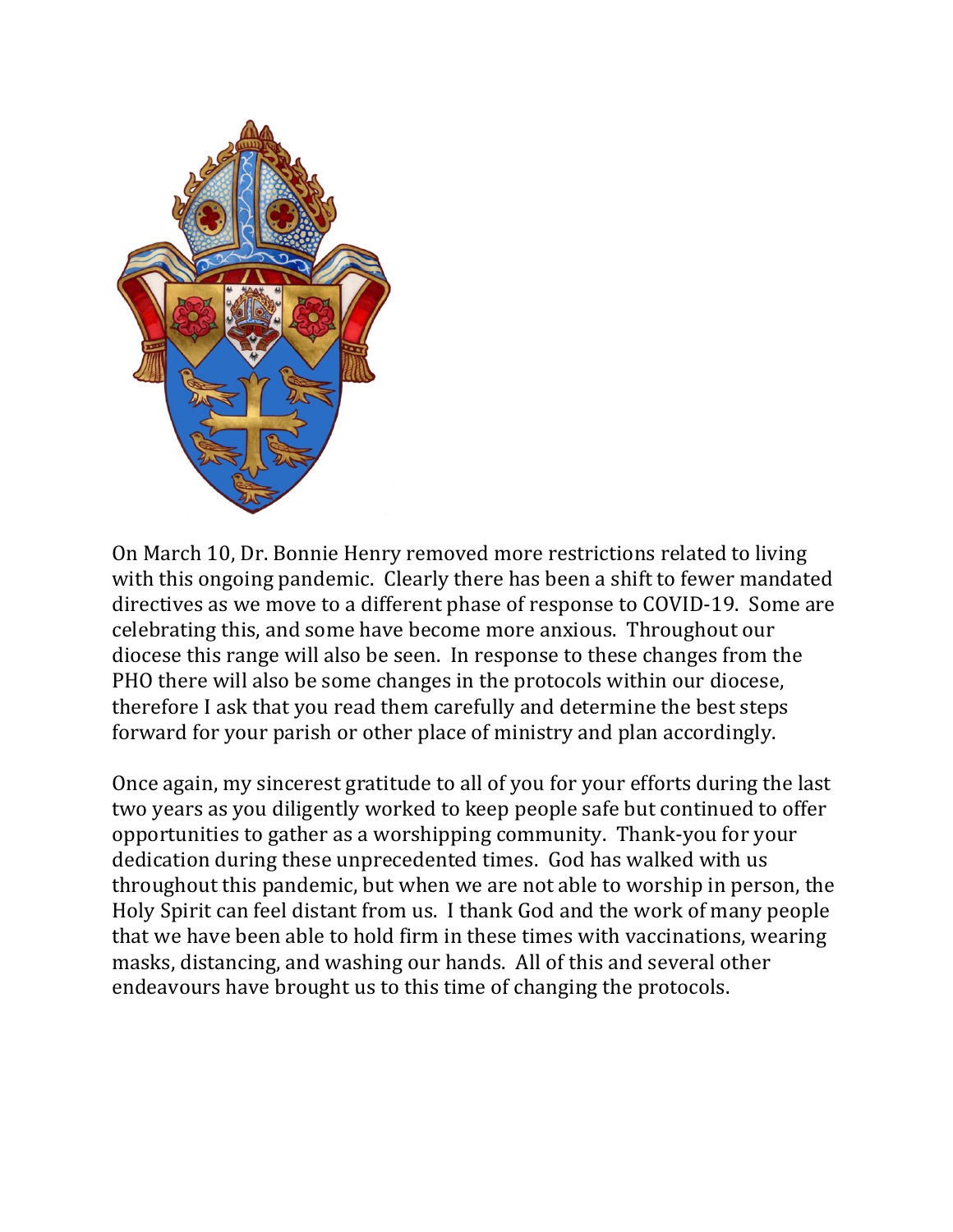

On March 10, Dr. Bonnie Henry removed more restrictions related to living with this ongoing pandemic. Clearly there has been a shift to fewer mandated directives as we move to a different phase of response to COVID-19. Some are celebrating this, and some have become more anxious. Throughout our diocese this range will also be seen. In response to these changes from the PHO there will also be some changes in the protocols within our diocese, therefore I ask that you read them carefully and determine the best steps forward for your parish or other place of ministry and plan accordingly.

Once again, my sincerest gratitude to all of you for your efforts during the last two years as you diligently worked to keep people safe but continued to offer opportunities to gather as a worshipping community. Thank-you for your dedication during these unprecedented times. God has walked with us throughout this pandemic, but when we are not able to worship in person, the Holy Spirit can feel distant from us. I thank God and the work of many people that we have been able to hold firm in these times with vaccinations, wearing masks, distancing, and washing our hands. All of this and several other endeavours have brought us to this time of changing the protocols.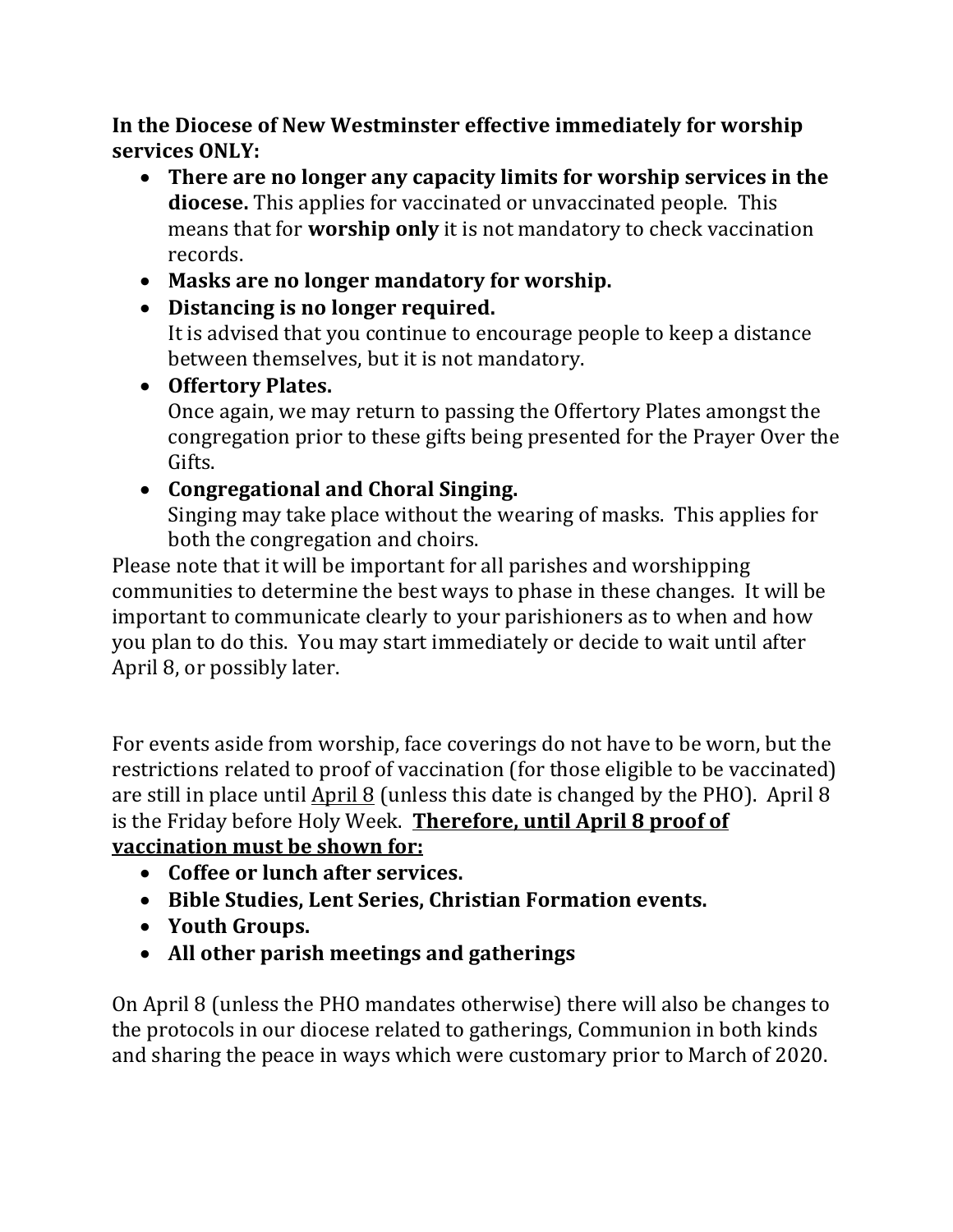In the Diocese of New Westminster effective immediately for worship **services ONLY:**

- There are no longer any capacity limits for worship services in the **diocese.** This applies for vaccinated or unvaccinated people. This means that for **worship only** it is not mandatory to check vaccination records.
- Masks are no longer mandatory for worship.
- Distancing is no longer required. It is advised that you continue to encourage people to keep a distance between themselves, but it is not mandatory.
- Offertory Plates.

Once again, we may return to passing the Offertory Plates amongst the congregation prior to these gifts being presented for the Prayer Over the Gifts. 

## • Congregational and Choral Singing.

Singing may take place without the wearing of masks. This applies for both the congregation and choirs.

Please note that it will be important for all parishes and worshipping communities to determine the best ways to phase in these changes. It will be important to communicate clearly to your parishioners as to when and how you plan to do this. You may start immediately or decide to wait until after April 8, or possibly later.

For events aside from worship, face coverings do not have to be worn, but the restrictions related to proof of vaccination (for those eligible to be vaccinated) are still in place until April 8 (unless this date is changed by the PHO). April 8 is the Friday before Holy Week. **Therefore, until April 8 proof of** 

# **vaccination must be shown for:**

- Coffee or lunch after services.
- Bible Studies, Lent Series, Christian Formation events.
- **Youth Groups.**
- All other parish meetings and gatherings

On April 8 (unless the PHO mandates otherwise) there will also be changes to the protocols in our diocese related to gatherings, Communion in both kinds and sharing the peace in ways which were customary prior to March of 2020.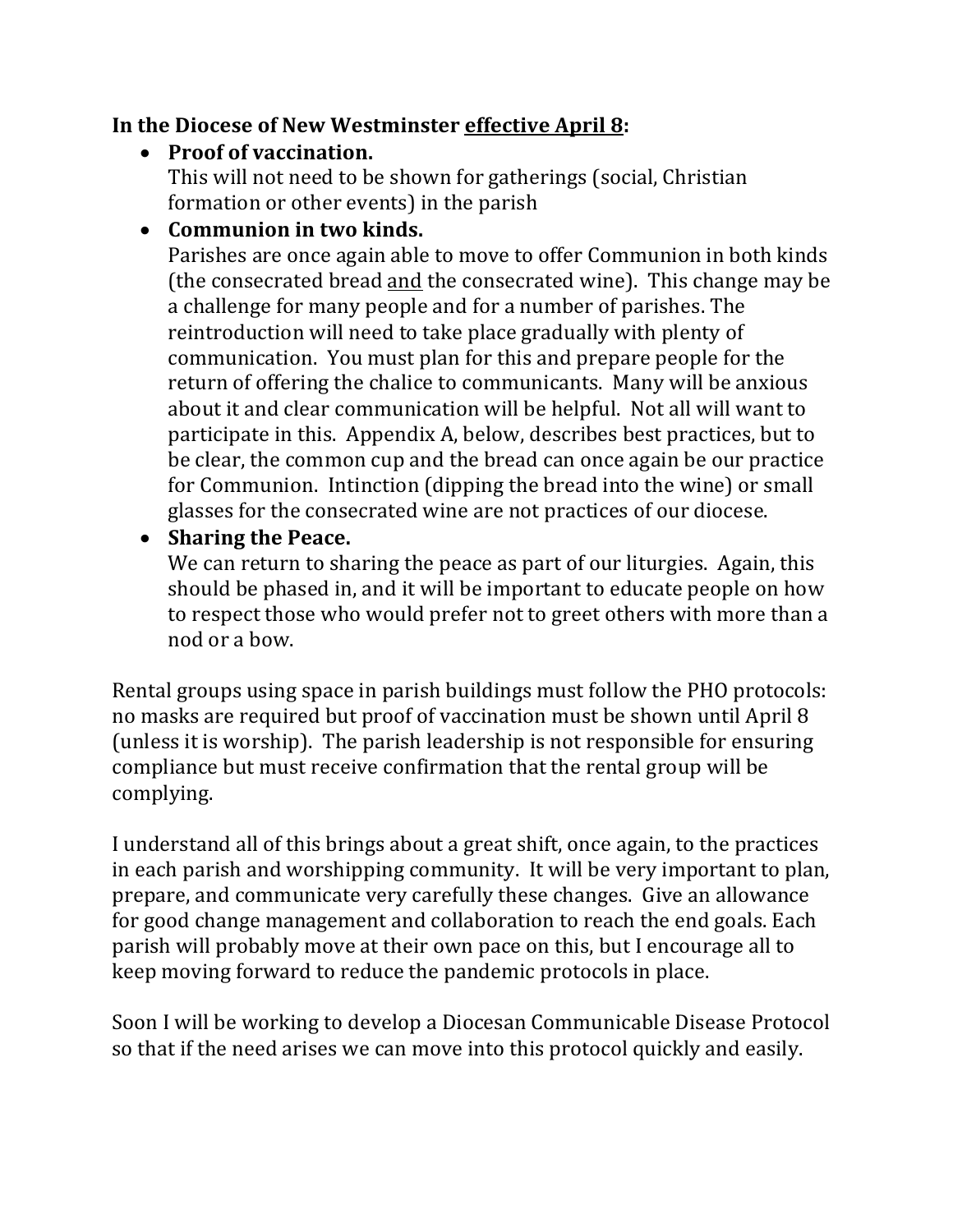## **In the Diocese of New Westminster effective April 8:**

# • Proof of vaccination.

This will not need to be shown for gatherings (social, Christian formation or other events) in the parish

# • Communion in two kinds.

Parishes are once again able to move to offer Communion in both kinds (the consecrated bread <u>and</u> the consecrated wine). This change may be a challenge for many people and for a number of parishes. The reintroduction will need to take place gradually with plenty of communication. You must plan for this and prepare people for the return of offering the chalice to communicants. Many will be anxious about it and clear communication will be helpful. Not all will want to participate in this. Appendix A, below, describes best practices, but to be clear, the common cup and the bread can once again be our practice for Communion. Intinction (dipping the bread into the wine) or small glasses for the consecrated wine are not practices of our diocese.

## • Sharing the Peace.

We can return to sharing the peace as part of our liturgies. Again, this should be phased in, and it will be important to educate people on how to respect those who would prefer not to greet others with more than a nod or a bow.

Rental groups using space in parish buildings must follow the PHO protocols: no masks are required but proof of vaccination must be shown until April 8 (unless it is worship). The parish leadership is not responsible for ensuring compliance but must receive confirmation that the rental group will be complying. 

I understand all of this brings about a great shift, once again, to the practices in each parish and worshipping community. It will be very important to plan, prepare, and communicate very carefully these changes. Give an allowance for good change management and collaboration to reach the end goals. Each parish will probably move at their own pace on this, but I encourage all to keep moving forward to reduce the pandemic protocols in place.

Soon I will be working to develop a Diocesan Communicable Disease Protocol so that if the need arises we can move into this protocol quickly and easily.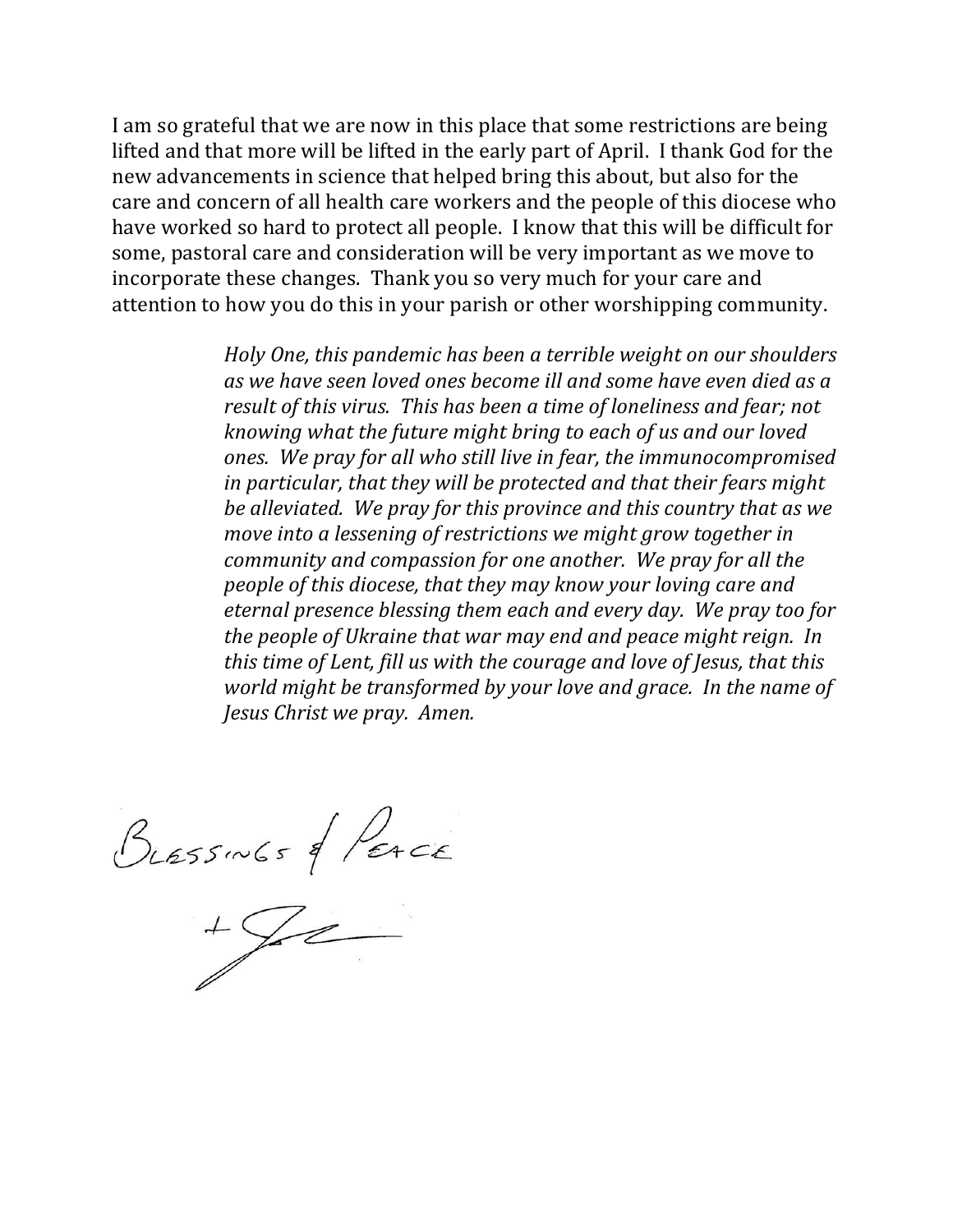I am so grateful that we are now in this place that some restrictions are being lifted and that more will be lifted in the early part of April. I thank God for the new advancements in science that helped bring this about, but also for the care and concern of all health care workers and the people of this diocese who have worked so hard to protect all people. I know that this will be difficult for some, pastoral care and consideration will be very important as we move to incorporate these changes. Thank you so very much for your care and attention to how you do this in your parish or other worshipping community.

> *Holy* One, this pandemic has been a terrible weight on our shoulders as we have seen loved ones become *ill* and some have even died as a *result of this virus. This has been a time of loneliness and fear; not knowing* what the future might bring to each of us and our loved ones. We pray for all who still live in fear, the immunocompromised in particular, that they will be protected and that their fears might *be alleviated.* We pray for this province and this country that as we *move into a lessening of restrictions we might grow together in community and compassion for one another. We pray for all the people of this diocese, that they may know your loving care and eternal presence blessing them each and every day. We pray too for the people of Ukraine that war may end and peace might reign. In this time of Lent, fill us with the courage and love of Jesus, that this world might be transformed by your love and grace. In the name of Jesus Christ we pray. Amen.*

 $Bresswbs$  of Perce